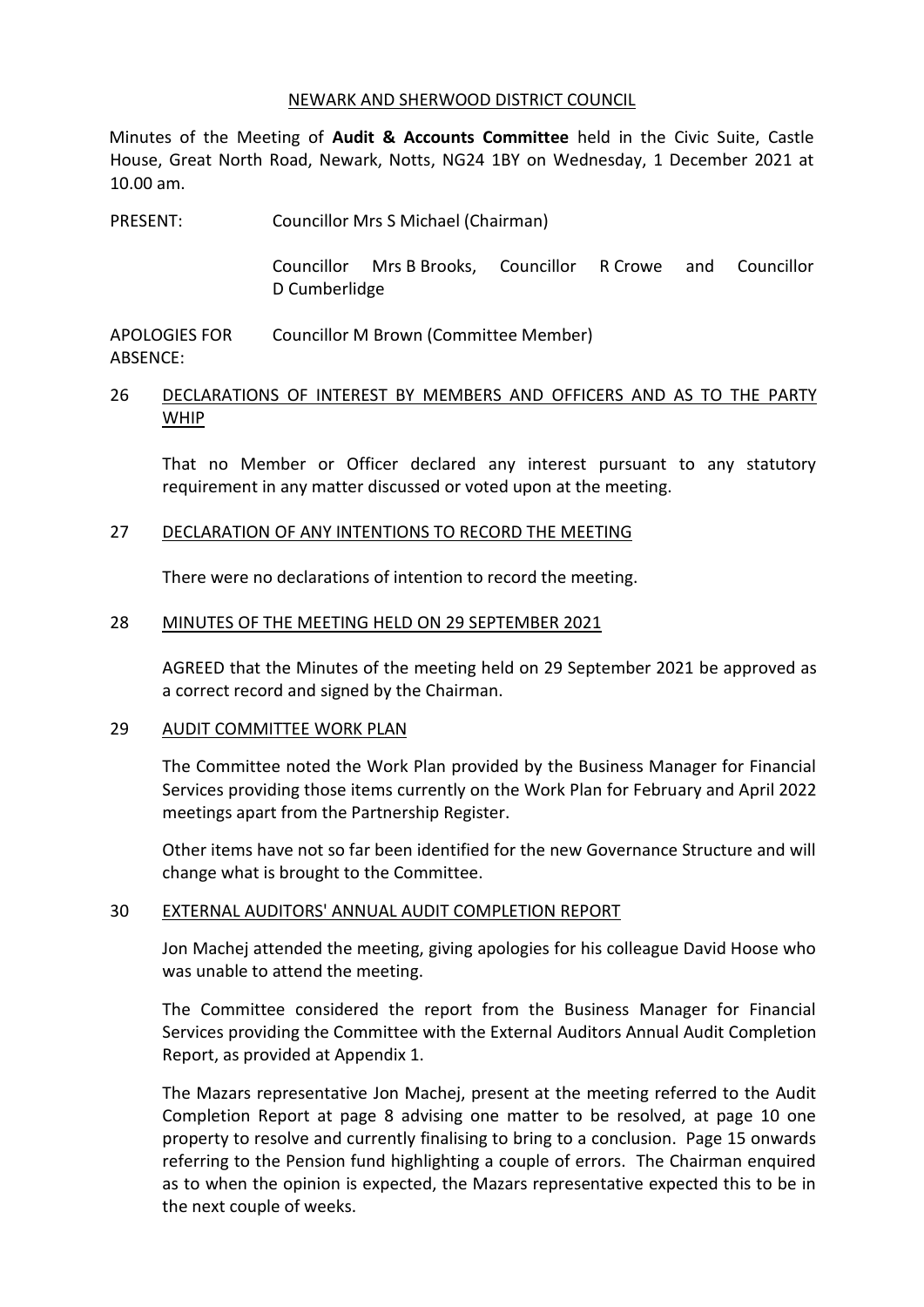#### NEWARK AND SHERWOOD DISTRICT COUNCIL

Minutes of the Meeting of **Audit & Accounts Committee** held in the Civic Suite, Castle House, Great North Road, Newark, Notts, NG24 1BY on Wednesday, 1 December 2021 at 10.00 am.

PRESENT: Councillor Mrs S Michael (Chairman)

Councillor Mrs B Brooks, Councillor R Crowe and Councillor D Cumberlidge

APOLOGIES FOR ABSENCE: Councillor M Brown (Committee Member)

## 26 DECLARATIONS OF INTEREST BY MEMBERS AND OFFICERS AND AS TO THE PARTY WHIP

That no Member or Officer declared any interest pursuant to any statutory requirement in any matter discussed or voted upon at the meeting.

## 27 DECLARATION OF ANY INTENTIONS TO RECORD THE MEETING

There were no declarations of intention to record the meeting.

#### 28 MINUTES OF THE MEETING HELD ON 29 SEPTEMBER 2021

AGREED that the Minutes of the meeting held on 29 September 2021 be approved as a correct record and signed by the Chairman.

#### 29 AUDIT COMMITTEE WORK PLAN

The Committee noted the Work Plan provided by the Business Manager for Financial Services providing those items currently on the Work Plan for February and April 2022 meetings apart from the Partnership Register.

Other items have not so far been identified for the new Governance Structure and will change what is brought to the Committee.

## 30 EXTERNAL AUDITORS' ANNUAL AUDIT COMPLETION REPORT

Jon Machej attended the meeting, giving apologies for his colleague David Hoose who was unable to attend the meeting.

The Committee considered the report from the Business Manager for Financial Services providing the Committee with the External Auditors Annual Audit Completion Report, as provided at Appendix 1.

The Mazars representative Jon Machej, present at the meeting referred to the Audit Completion Report at page 8 advising one matter to be resolved, at page 10 one property to resolve and currently finalising to bring to a conclusion. Page 15 onwards referring to the Pension fund highlighting a couple of errors. The Chairman enquired as to when the opinion is expected, the Mazars representative expected this to be in the next couple of weeks.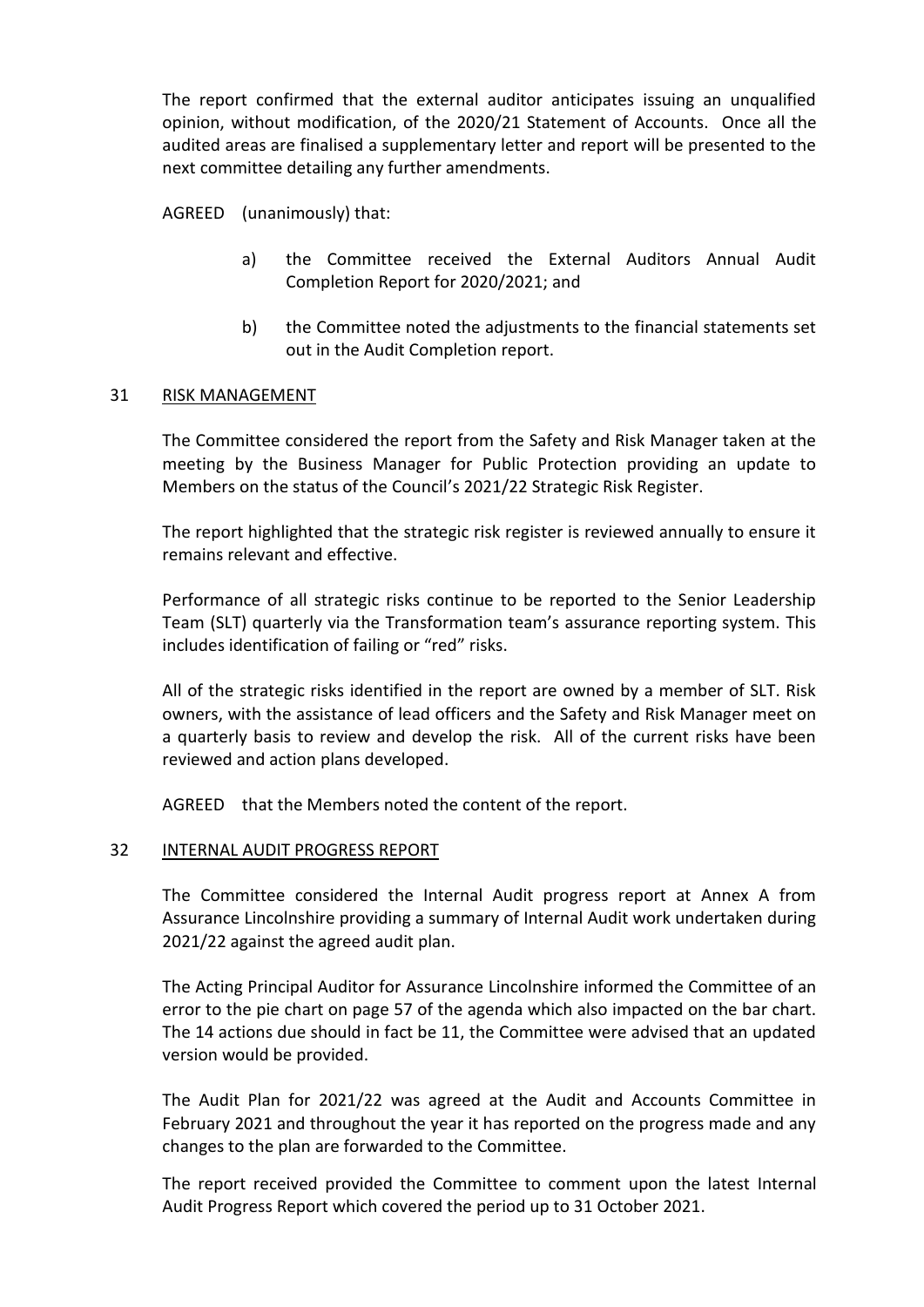The report confirmed that the external auditor anticipates issuing an unqualified opinion, without modification, of the 2020/21 Statement of Accounts. Once all the audited areas are finalised a supplementary letter and report will be presented to the next committee detailing any further amendments.

AGREED (unanimously) that:

- a) the Committee received the External Auditors Annual Audit Completion Report for 2020/2021; and
- b) the Committee noted the adjustments to the financial statements set out in the Audit Completion report.

# 31 RISK MANAGEMENT

The Committee considered the report from the Safety and Risk Manager taken at the meeting by the Business Manager for Public Protection providing an update to Members on the status of the Council's 2021/22 Strategic Risk Register.

The report highlighted that the strategic risk register is reviewed annually to ensure it remains relevant and effective.

Performance of all strategic risks continue to be reported to the Senior Leadership Team (SLT) quarterly via the Transformation team's assurance reporting system. This includes identification of failing or "red" risks.

All of the strategic risks identified in the report are owned by a member of SLT. Risk owners, with the assistance of lead officers and the Safety and Risk Manager meet on a quarterly basis to review and develop the risk. All of the current risks have been reviewed and action plans developed.

AGREED that the Members noted the content of the report.

## 32 INTERNAL AUDIT PROGRESS REPORT

The Committee considered the Internal Audit progress report at Annex A from Assurance Lincolnshire providing a summary of Internal Audit work undertaken during 2021/22 against the agreed audit plan.

The Acting Principal Auditor for Assurance Lincolnshire informed the Committee of an error to the pie chart on page 57 of the agenda which also impacted on the bar chart. The 14 actions due should in fact be 11, the Committee were advised that an updated version would be provided.

The Audit Plan for 2021/22 was agreed at the Audit and Accounts Committee in February 2021 and throughout the year it has reported on the progress made and any changes to the plan are forwarded to the Committee.

The report received provided the Committee to comment upon the latest Internal Audit Progress Report which covered the period up to 31 October 2021.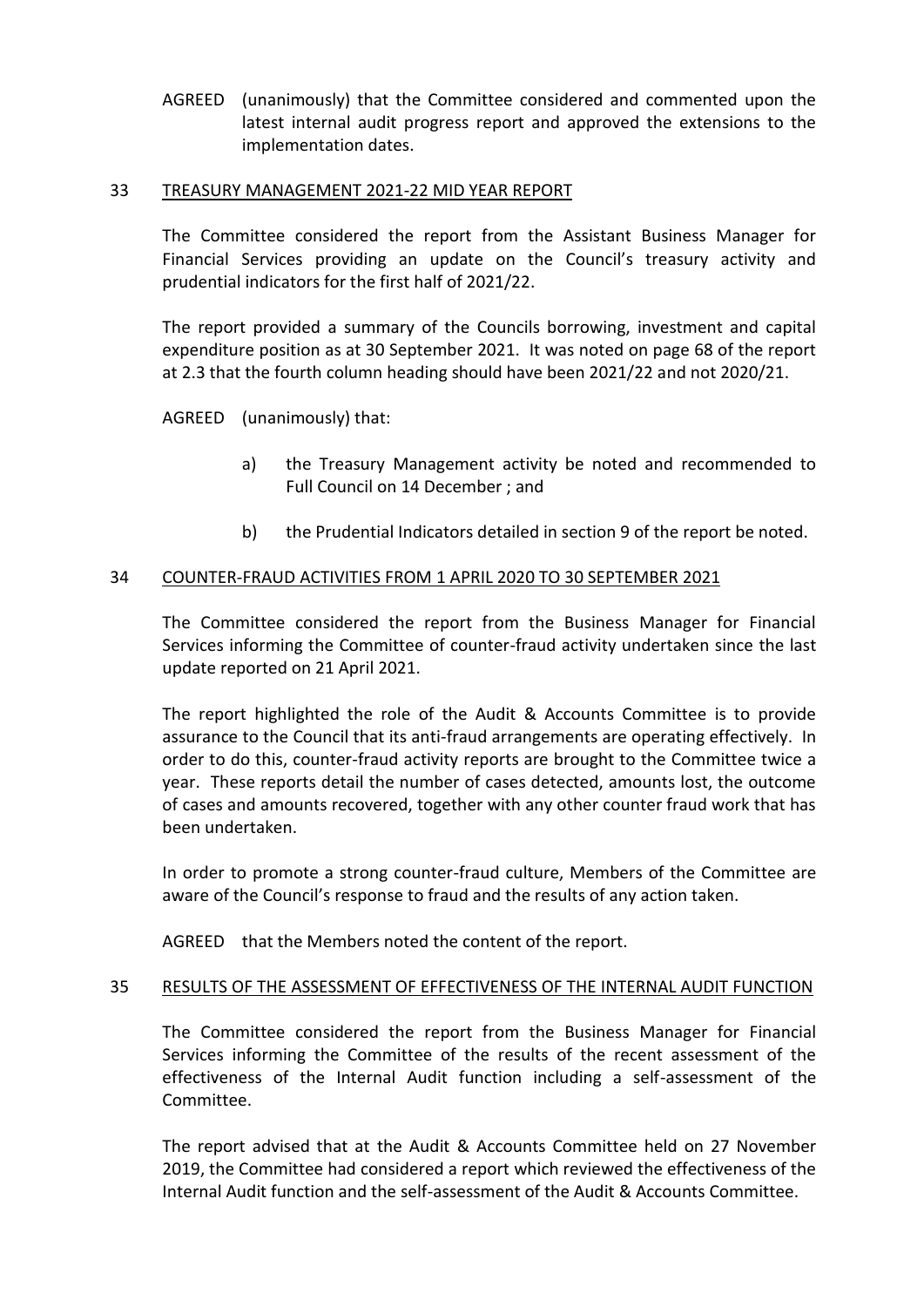AGREED (unanimously) that the Committee considered and commented upon the latest internal audit progress report and approved the extensions to the implementation dates.

#### 33 TREASURY MANAGEMENT 2021-22 MID YEAR REPORT

The Committee considered the report from the Assistant Business Manager for Financial Services providing an update on the Council's treasury activity and prudential indicators for the first half of 2021/22.

The report provided a summary of the Councils borrowing, investment and capital expenditure position as at 30 September 2021. It was noted on page 68 of the report at 2.3 that the fourth column heading should have been 2021/22 and not 2020/21.

AGREED (unanimously) that:

- a) the Treasury Management activity be noted and recommended to Full Council on 14 December ; and
- b) the Prudential Indicators detailed in section 9 of the report be noted.

# 34 COUNTER-FRAUD ACTIVITIES FROM 1 APRIL 2020 TO 30 SEPTEMBER 2021

The Committee considered the report from the Business Manager for Financial Services informing the Committee of counter-fraud activity undertaken since the last update reported on 21 April 2021.

The report highlighted the role of the Audit & Accounts Committee is to provide assurance to the Council that its anti-fraud arrangements are operating effectively. In order to do this, counter-fraud activity reports are brought to the Committee twice a year. These reports detail the number of cases detected, amounts lost, the outcome of cases and amounts recovered, together with any other counter fraud work that has been undertaken.

In order to promote a strong counter-fraud culture, Members of the Committee are aware of the Council's response to fraud and the results of any action taken.

AGREED that the Members noted the content of the report.

## 35 RESULTS OF THE ASSESSMENT OF EFFECTIVENESS OF THE INTERNAL AUDIT FUNCTION

The Committee considered the report from the Business Manager for Financial Services informing the Committee of the results of the recent assessment of the effectiveness of the Internal Audit function including a self-assessment of the Committee.

The report advised that at the Audit & Accounts Committee held on 27 November 2019, the Committee had considered a report which reviewed the effectiveness of the Internal Audit function and the self-assessment of the Audit & Accounts Committee.